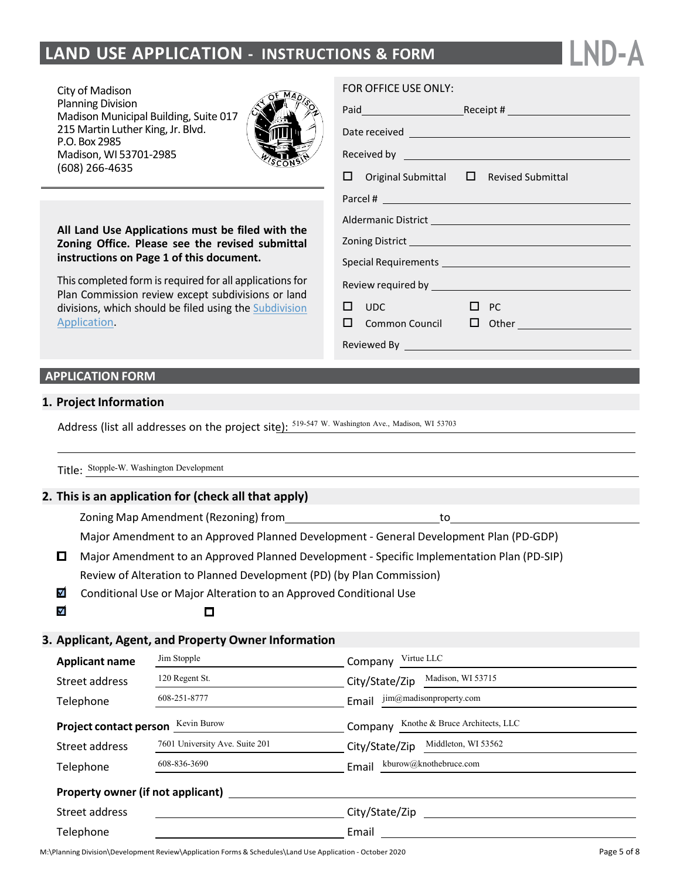# **LAND USE APPLICATION - INSTRUCTIONS & FORM**

City of Madison Planning Division Madison Municipal Building, Suite 017 215 Martin Luther King, Jr. Blvd. P.O. Box 2985 Madison, WI 53701-2985 (608) 266-4635



**All Land Use Applications must be filed with the Zoning Office. Please see the revised submittal instructions on Page 1 of this document.**

This completed form is required for all applications for Plan Commission review except subdivisions or land divisions, which should be filed using the [Subdivision](http://www.cityofmadison.com/development-services-center/documents/SubdivisionApplication.pdf) [Application.](http://www.cityofmadison.com/development-services-center/documents/SubdivisionApplication.pdf)

#### FOR OFFICE USE ONLY:

|                               |  | Date received <b>explorer and the contract of the contract of the contract of the contract of the contract of the contract of the contract of the contract of the contract of the contract of the contract of the contract of th</b> |  |
|-------------------------------|--|--------------------------------------------------------------------------------------------------------------------------------------------------------------------------------------------------------------------------------------|--|
|                               |  |                                                                                                                                                                                                                                      |  |
|                               |  | $\Box$ Original Submittal $\Box$ Revised Submittal                                                                                                                                                                                   |  |
|                               |  |                                                                                                                                                                                                                                      |  |
|                               |  |                                                                                                                                                                                                                                      |  |
|                               |  |                                                                                                                                                                                                                                      |  |
|                               |  |                                                                                                                                                                                                                                      |  |
|                               |  |                                                                                                                                                                                                                                      |  |
| $\square$ $\square$ $\square$ |  | $\square$ PC                                                                                                                                                                                                                         |  |
|                               |  | □ Common Council □ Other <u>________________</u>                                                                                                                                                                                     |  |
|                               |  |                                                                                                                                                                                                                                      |  |

**LND-A**

### **APPLICATION FORM**

#### **1. Project Information**

 $\overline{\mathsf{v}}$ 

Address (list all addresses on the project site): 519-547 W. Washington Ave., Madison, WI 53703

Title: Stopple-W. Washington Development

#### **2. This is an application for (check all that apply)**

Zoning Map Amendment (Rezoning) from the summation of the to-

Major Amendment to an Approved Planned Development - General Development Plan (PD-GDP)

- $\Box$ Major Amendment to an Approved Planned Development - Specific Implementation Plan (PD-SIP) Review of Alteration to Planned Development (PD) (by Plan Commission)
- $\blacksquare$  Conditional Use or Major Alteration to an Approved Conditional Use

 $\Box$ 

## **3. Applicant, Agent, and Property Owner Information**

| <b>Applicant name</b>                        | Jim Stopple                    | Virtue LLC<br>Company                     |  |
|----------------------------------------------|--------------------------------|-------------------------------------------|--|
| Street address                               | 120 Regent St.                 | Madison, WI 53715<br>City/State/Zip       |  |
| Telephone                                    | 608-251-8777                   | jim@madisonproperty.com<br>Email          |  |
| Kevin Burow<br><b>Project contact person</b> |                                | Knothe & Bruce Architects, LLC<br>Company |  |
| Street address                               | 7601 University Ave. Suite 201 | Middleton, WI 53562<br>City/State/Zip     |  |
| Telephone                                    | 608-836-3690                   | kburow@knothebruce.com<br>Email           |  |
|                                              |                                |                                           |  |
| Street address                               |                                | City/State/Zip                            |  |
| Telephone                                    |                                | Email                                     |  |